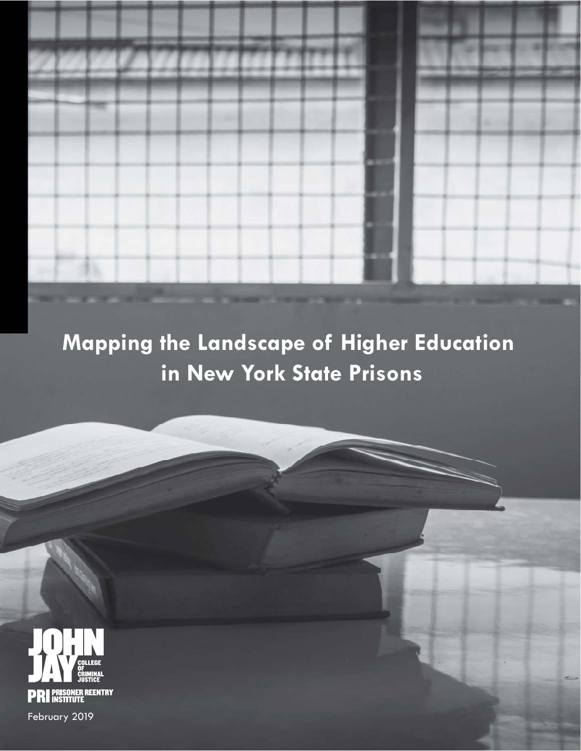Mapping the Landscape of Higher Education in New York State Prisons



事业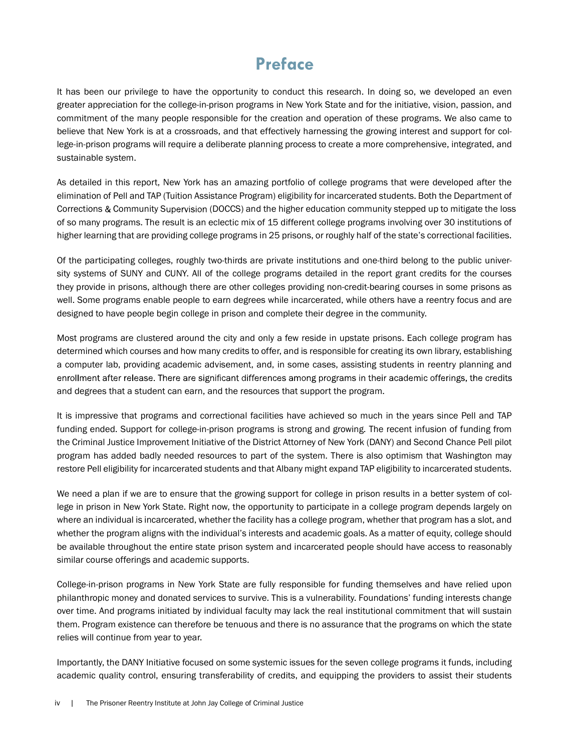# Preface

It has been our privilege to have the opportunity to conduct this research. In doing so, we developed an even greater appreciation for the college-in-prison programs in New York State and for the initiative, vision, passion, and commitment of the many people responsible for the creation and operation of these programs. We also came to believe that New York is at a crossroads, and that effectively harnessing the growing interest and support for college-in-prison programs will require a deliberate planning process to create a more comprehensive, integrated, and sustainable system.

As detailed in this report, New York has an amazing portfolio of college programs that were developed after the elimination of Pell and TAP (Tuition Assistance Program) eligibility for incarcerated students. Both the Department of Corrections & Community Supervision (DOCCS) and the higher education community stepped up to mitigate the loss of so many programs. The result is an eclectic mix of 15 different college programs involving over 30 institutions of higher learning that are providing college programs in 25 prisons, or roughly half of the state's correctional facilities.

Of the participating colleges, roughly two-thirds are private institutions and one-third belong to the public university systems of SUNY and CUNY. All of the college programs detailed in the report grant credits for the courses they provide in prisons, although there are other colleges providing non-credit-bearing courses in some prisons as well. Some programs enable people to earn degrees while incarcerated, while others have a reentry focus and are designed to have people begin college in prison and complete their degree in the community.

Most programs are clustered around the city and only a few reside in upstate prisons. Each college program has determined which courses and how many credits to offer, and is responsible for creating its own library, establishing a computer lab, providing academic advisement, and, in some cases, assisting students in reentry planning and enrollment after release. There are significant differences among programs in their academic offerings, the credits and degrees that a student can earn, and the resources that support the program.

It is impressive that programs and correctional facilities have achieved so much in the years since Pell and TAP funding ended. Support for college-in-prison programs is strong and growing. The recent infusion of funding from the Criminal Justice Improvement Initiative of the District Attorney of New York (DANY) and Second Chance Pell pilot program has added badly needed resources to part of the system. There is also optimism that Washington may restore Pell eligibility for incarcerated students and that Albany might expand TAP eligibility to incarcerated students.

We need a plan if we are to ensure that the growing support for college in prison results in a better system of college in prison in New York State. Right now, the opportunity to participate in a college program depends largely on where an individual is incarcerated, whether the facility has a college program, whether that program has a slot, and whether the program aligns with the individual's interests and academic goals. As a matter of equity, college should be available throughout the entire state prison system and incarcerated people should have access to reasonably similar course offerings and academic supports.

College-in-prison programs in New York State are fully responsible for funding themselves and have relied upon philanthropic money and donated services to survive. This is a vulnerability. Foundations' funding interests change over time. And programs initiated by individual faculty may lack the real institutional commitment that will sustain them. Program existence can therefore be tenuous and there is no assurance that the programs on which the state relies will continue from year to year.

Importantly, the DANY Initiative focused on some systemic issues for the seven college programs it funds, including academic quality control, ensuring transferability of credits, and equipping the providers to assist their students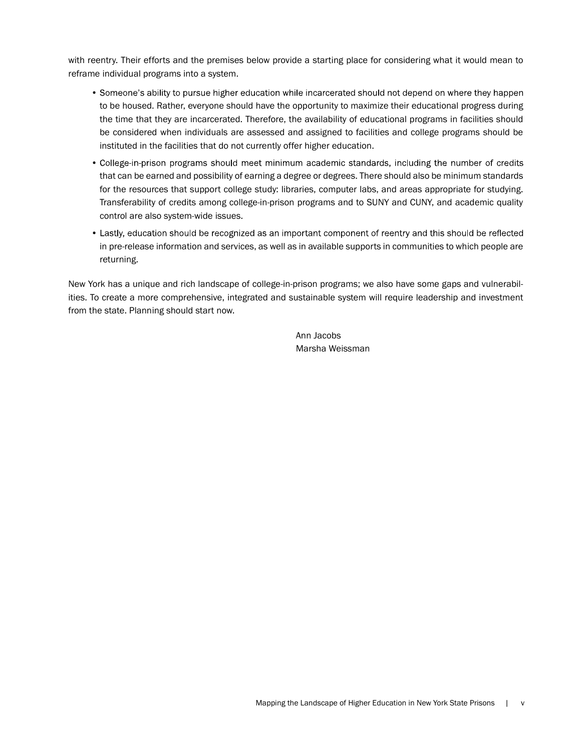with reentry. Their efforts and the premises below provide a starting place for considering what it would mean to reframe individual programs into a system.

- Someone's ability to pursue higher education while incarcerated should not depend on where they happen to be housed. Rather, everyone should have the opportunity to maximize their educational progress during the time that they are incarcerated. Therefore, the availability of educational programs in facilities should be considered when individuals are assessed and assigned to facilities and college programs should be instituted in the facilities that do not currently offer higher education.
- College-in-prison programs should meet minimum academic standards, including the number of credits that can be earned and possibility of earning a degree or degrees. There should also be minimum standards for the resources that support college study: libraries, computer labs, and areas appropriate for studying. Transferability of credits among college-in-prison programs and to SUNY and CUNY, and academic quality control are also system-wide issues.
- Lastly, education should be recognized as an important component of reentry and this should be reflected in pre-release information and services, as well as in available supports in communities to which people are returning.

New York has a unique and rich landscape of college-in-prison programs; we also have some gaps and vulnerabilities. To create a more comprehensive, integrated and sustainable system will require leadership and investment from the state. Planning should start now.

> Ann Jacobs Marsha Weissman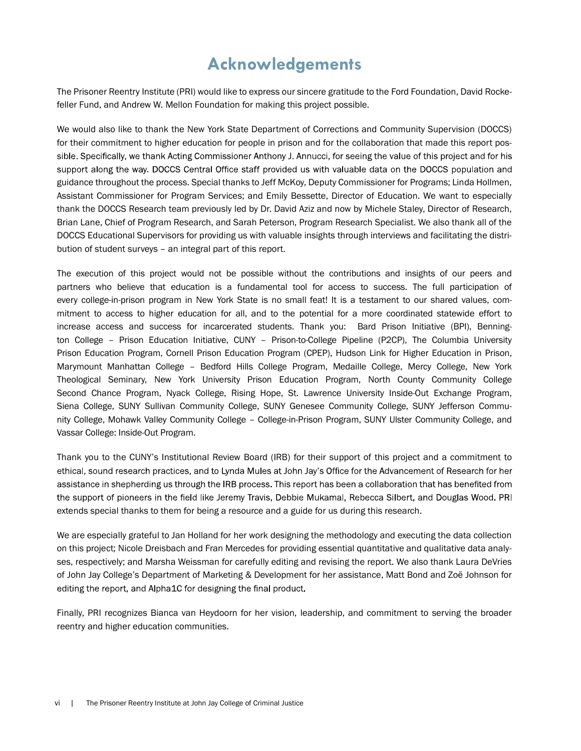# Acknowledgements

The Prisoner Reentry Institute (PRI) would like to express our sincere gratitude to the Ford Foundation, David Rockefeller Fund, and Andrew W. Mellon Foundation for making this project possible.

We would also like to thank the New York State Department of Corrections and Community Supervision (DOCCS) for their commitment to higher education for people in prison and for the collaboration that made this report possible. Specifically, we thank Acting Commissioner Anthony J. Annucci, for seeing the value of this project and for his support along the way. DOCCS Central Office staff provided us with valuable data on the DOCCS population and guidance throughout the process. Special thanks to Jeff McKoy, Deputy Commissioner for Programs; Linda Hollmen, Assistant Commissioner for Program Services; and Emily Bessette, Director of Education. We want to especially thank the DOCCS Research team previously led by Dr. David Aziz and now by Michele Staley, Director of Research, Brian Lane, Chief of Program Research, and Sarah Peterson, Program Research Specialist. We also thank all of the DOCCS Educational Supervisors for providing us with valuable insights through interviews and facilitating the distribution of student surveys – an integral part of this report.

The execution of this project would not be possible without the contributions and insights of our peers and partners who believe that education is a fundamental tool for access to success. The full participation of every college-in-prison program in New York State is no small feat! It is a testament to our shared values, commitment to access to higher education for all, and to the potential for a more coordinated statewide effort to increase access and success for incarcerated students. Thank you: Bard Prison Initiative (BPI), Bennington College – Prison Education Initiative, CUNY – Prison-to-College Pipeline (P2CP), The Columbia University Prison Education Program, Cornell Prison Education Program (CPEP), Hudson Link for Higher Education in Prison, Marymount Manhattan College – Bedford Hills College Program, Medaille College, Mercy College, New York Theological Seminary, New York University Prison Education Program, North County Community College Second Chance Program, Nyack College, Rising Hope, St. Lawrence University Inside-Out Exchange Program, Siena College, SUNY Sullivan Community College, SUNY Genesee Community College, SUNY Jefferson Community College, Mohawk Valley Community College – College-in-Prison Program, SUNY Ulster Community College, and Vassar College: Inside-Out Program.

Thank you to the CUNY's Institutional Review Board (IRB) for their support of this project and a commitment to ethical, sound research practices, and to Lynda Mules at John Jay's Office for the Advancement of Research for her assistance in shepherding us through the IRB process. This report has been a collaboration that has benefited from the support of pioneers in the field like Jeremy Travis, Debbie Mukamal, Rebecca Silbert, and Douglas Wood. PRI extends special thanks to them for being a resource and a guide for us during this research.

We are especially grateful to Jan Holland for her work designing the methodology and executing the data collection on this project; Nicole Dreisbach and Fran Mercedes for providing essential quantitative and qualitative data analyses, respectively; and Marsha Weissman for carefully editing and revising the report. We also thank Laura DeVries of John Jay College's Department of Marketing & Development for her assistance, Matt Bond and Zoë Johnson for editing the report, and Alpha1C for designing the final product.

Finally, PRI recognizes Bianca van Heydoorn for her vision, leadership, and commitment to serving the broader reentry and higher education communities.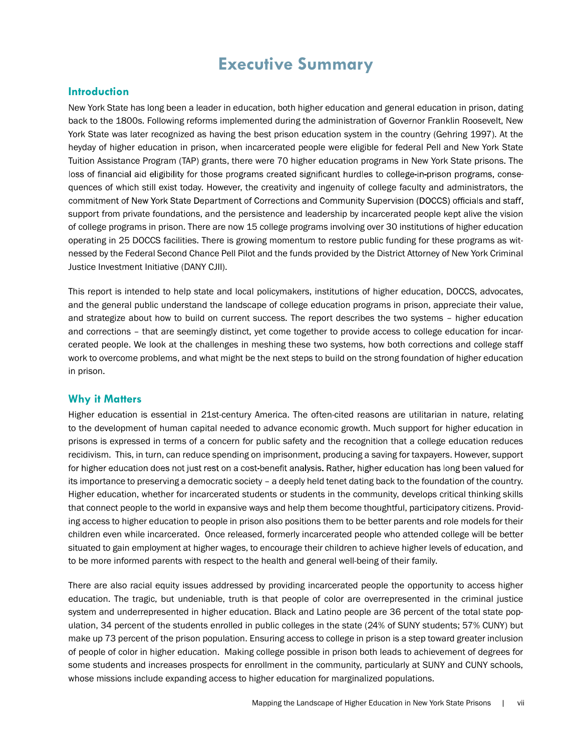# Executive Summary

#### **Introduction**

New York State has long been a leader in education, both higher education and general education in prison, dating back to the 1800s. Following reforms implemented during the administration of Governor Franklin Roosevelt, New York State was later recognized as having the best prison education system in the country (Gehring 1997). At the heyday of higher education in prison, when incarcerated people were eligible for federal Pell and New York State Tuition Assistance Program (TAP) grants, there were 70 higher education programs in New York State prisons. The loss of financial aid eligibility for those programs created significant hurdles to college-in-prison programs, consequences of which still exist today. However, the creativity and ingenuity of college faculty and administrators, the commitment of New York State Department of Corrections and Community Supervision (DOCCS) officials and staff, support from private foundations, and the persistence and leadership by incarcerated people kept alive the vision of college programs in prison. There are now 15 college programs involving over 30 institutions of higher education operating in 25 DOCCS facilities. There is growing momentum to restore public funding for these programs as witnessed by the Federal Second Chance Pell Pilot and the funds provided by the District Attorney of New York Criminal Justice Investment Initiative (DANY CJII).

This report is intended to help state and local policymakers, institutions of higher education, DOCCS, advocates, and the general public understand the landscape of college education programs in prison, appreciate their value, and strategize about how to build on current success. The report describes the two systems – higher education and corrections – that are seemingly distinct, yet come together to provide access to college education for incarcerated people. We look at the challenges in meshing these two systems, how both corrections and college staff work to overcome problems, and what might be the next steps to build on the strong foundation of higher education in prison.

#### Why it Matters

Higher education is essential in 21st-century America. The often-cited reasons are utilitarian in nature, relating to the development of human capital needed to advance economic growth. Much support for higher education in prisons is expressed in terms of a concern for public safety and the recognition that a college education reduces recidivism. This, in turn, can reduce spending on imprisonment, producing a saving for taxpayers. However, support for higher education does not just rest on a cost-benefit analysis. Rather, higher education has long been valued for its importance to preserving a democratic society – a deeply held tenet dating back to the foundation of the country. Higher education, whether for incarcerated students or students in the community, develops critical thinking skills that connect people to the world in expansive ways and help them become thoughtful, participatory citizens. Providing access to higher education to people in prison also positions them to be better parents and role models for their children even while incarcerated. Once released, formerly incarcerated people who attended college will be better situated to gain employment at higher wages, to encourage their children to achieve higher levels of education, and to be more informed parents with respect to the health and general well-being of their family.

There are also racial equity issues addressed by providing incarcerated people the opportunity to access higher education. The tragic, but undeniable, truth is that people of color are overrepresented in the criminal justice system and underrepresented in higher education. Black and Latino people are 36 percent of the total state population, 34 percent of the students enrolled in public colleges in the state (24% of SUNY students; 57% CUNY) but make up 73 percent of the prison population. Ensuring access to college in prison is a step toward greater inclusion of people of color in higher education. Making college possible in prison both leads to achievement of degrees for some students and increases prospects for enrollment in the community, particularly at SUNY and CUNY schools, whose missions include expanding access to higher education for marginalized populations.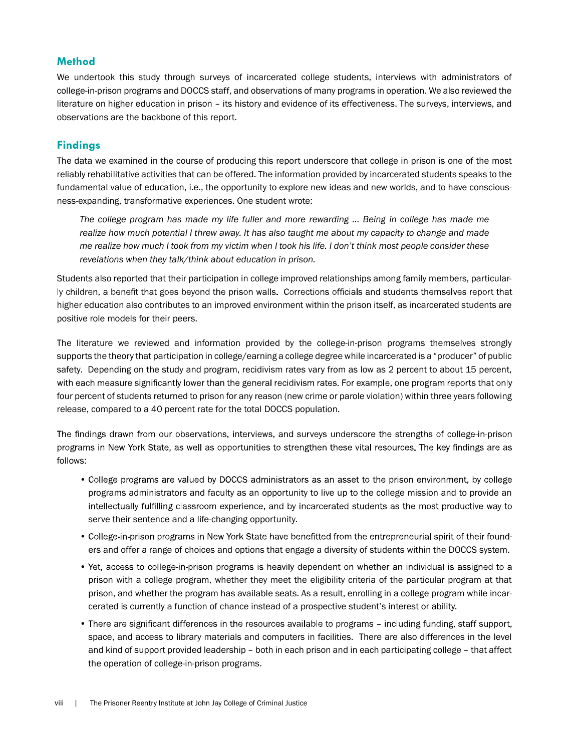### Method

We undertook this study through surveys of incarcerated college students, interviews with administrators of college-in-prison programs and DOCCS staff, and observations of many programs in operation. We also reviewed the literature on higher education in prison – its history and evidence of its effectiveness. The surveys, interviews, and observations are the backbone of this report.

## Findings

The data we examined in the course of producing this report underscore that college in prison is one of the most reliably rehabilitative activities that can be offered. The information provided by incarcerated students speaks to the fundamental value of education, i.e., the opportunity to explore new ideas and new worlds, and to have consciousness-expanding, transformative experiences. One student wrote:

The college program has made my life fuller and more rewarding … Being in college has made me realize how much potential I threw away. It has also taught me about my capacity to change and made me realize how much I took from my victim when I took his life. I don't think most people consider these revelations when they talk/think about education in prison.

Students also reported that their participation in college improved relationships among family members, particularly children, a benefit that goes beyond the prison walls. Corrections officials and students themselves report that higher education also contributes to an improved environment within the prison itself, as incarcerated students are positive role models for their peers.

The literature we reviewed and information provided by the college-in-prison programs themselves strongly supports the theory that participation in college/earning a college degree while incarcerated is a "producer" of public safety. Depending on the study and program, recidivism rates vary from as low as 2 percent to about 15 percent, with each measure significantly lower than the general recidivism rates. For example, one program reports that only four percent of students returned to prison for any reason (new crime or parole violation) within three years following release, compared to a 40 percent rate for the total DOCCS population.

The findings drawn from our observations, interviews, and surveys underscore the strengths of college-in-prison programs in New York State, as well as opportunities to strengthen these vital resources. The key findings are as follows:

- College programs are valued by DOCCS administrators as an asset to the prison environment, by college programs administrators and faculty as an opportunity to live up to the college mission and to provide an intellectually fulfilling classroom experience, and by incarcerated students as the most productive way to serve their sentence and a life-changing opportunity.
- College-in-prison programs in New York State have benefitted from the entrepreneurial spirit of their founders and offer a range of choices and options that engage a diversity of students within the DOCCS system.
- . Yet, access to college-in-prison programs is heavily dependent on whether an individual is assigned to a prison with a college program, whether they meet the eligibility criteria of the particular program at that prison, and whether the program has available seats. As a result, enrolling in a college program while incarcerated is currently a function of chance instead of a prospective student's interest or ability.
- There are significant differences in the resources available to programs including funding, staff support, space, and access to library materials and computers in facilities. There are also differences in the level and kind of support provided leadership – both in each prison and in each participating college – that affect the operation of college-in-prison programs.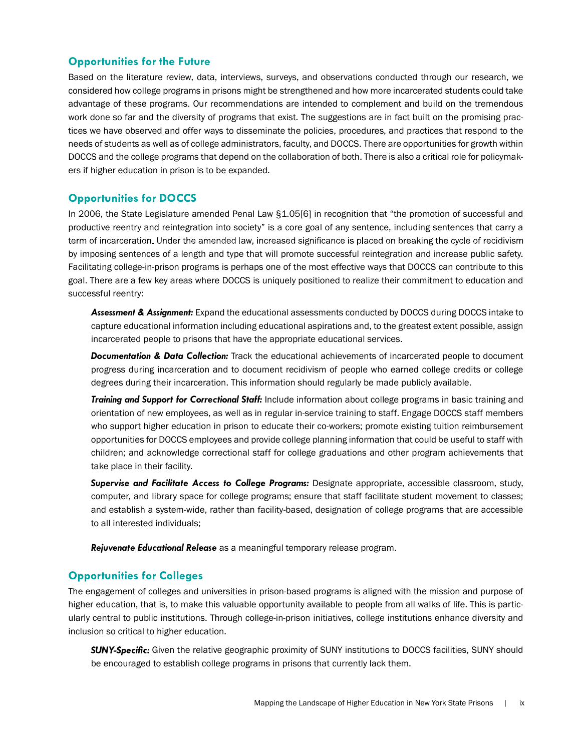### Opportunities for the Future

Based on the literature review, data, interviews, surveys, and observations conducted through our research, we considered how college programs in prisons might be strengthened and how more incarcerated students could take advantage of these programs. Our recommendations are intended to complement and build on the tremendous work done so far and the diversity of programs that exist. The suggestions are in fact built on the promising practices we have observed and offer ways to disseminate the policies, procedures, and practices that respond to the needs of students as well as of college administrators, faculty, and DOCCS. There are opportunities for growth within DOCCS and the college programs that depend on the collaboration of both. There is also a critical role for policymakers if higher education in prison is to be expanded.

### Opportunities for DOCCS

In 2006, the State Legislature amended Penal Law §1.05[6] in recognition that "the promotion of successful and productive reentry and reintegration into society" is a core goal of any sentence, including sentences that carry a term of incarceration. Under the amended law, increased significance is placed on breaking the cycle of recidivism by imposing sentences of a length and type that will promote successful reintegration and increase public safety. Facilitating college-in-prison programs is perhaps one of the most effective ways that DOCCS can contribute to this goal. There are a few key areas where DOCCS is uniquely positioned to realize their commitment to education and successful reentry:

Assessment & Assignment: Expand the educational assessments conducted by DOCCS during DOCCS intake to capture educational information including educational aspirations and, to the greatest extent possible, assign incarcerated people to prisons that have the appropriate educational services.

**Documentation & Data Collection:** Track the educational achievements of incarcerated people to document progress during incarceration and to document recidivism of people who earned college credits or college degrees during their incarceration. This information should regularly be made publicly available.

**Training and Support for Correctional Staff:** Include information about college programs in basic training and orientation of new employees, as well as in regular in-service training to staff. Engage DOCCS staff members who support higher education in prison to educate their co-workers; promote existing tuition reimbursement opportunities for DOCCS employees and provide college planning information that could be useful to staff with children; and acknowledge correctional staff for college graduations and other program achievements that take place in their facility.

Supervise and Facilitate Access to College Programs: Designate appropriate, accessible classroom, study, computer, and library space for college programs; ensure that staff facilitate student movement to classes; and establish a system-wide, rather than facility-based, designation of college programs that are accessible to all interested individuals;

Rejuvenate Educational Release as a meaningful temporary release program.

#### Opportunities for Colleges

The engagement of colleges and universities in prison-based programs is aligned with the mission and purpose of higher education, that is, to make this valuable opportunity available to people from all walks of life. This is particularly central to public institutions. Through college-in-prison initiatives, college institutions enhance diversity and inclusion so critical to higher education.

**SUNY-Specific:** Given the relative geographic proximity of SUNY institutions to DOCCS facilities, SUNY should be encouraged to establish college programs in prisons that currently lack them.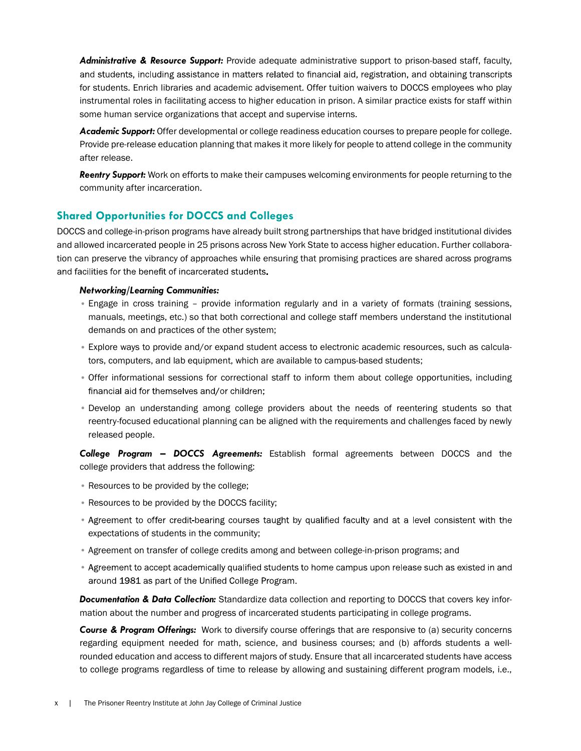Administrative & Resource Support: Provide adequate administrative support to prison-based staff, faculty, and students, including assistance in matters related to financial aid, registration, and obtaining transcripts for students. Enrich libraries and academic advisement. Offer tuition waivers to DOCCS employees who play instrumental roles in facilitating access to higher education in prison. A similar practice exists for staff within some human service organizations that accept and supervise interns.

Academic Support: Offer developmental or college readiness education courses to prepare people for college. Provide pre-release education planning that makes it more likely for people to attend college in the community after release.

Reentry Support: Work on efforts to make their campuses welcoming environments for people returning to the community after incarceration.

### Shared Opportunities for DOCCS and Colleges

DOCCS and college-in-prison programs have already built strong partnerships that have bridged institutional divides and allowed incarcerated people in 25 prisons across New York State to access higher education. Further collaboration can preserve the vibrancy of approaches while ensuring that promising practices are shared across programs and facilities for the benefit of incarcerated students.

#### Networking/Learning Communities:

- Engage in cross training provide information regularly and in a variety of formats (training sessions, manuals, meetings, etc.) so that both correctional and college staff members understand the institutional demands on and practices of the other system;
- Explore ways to provide and/or expand student access to electronic academic resources, such as calculators, computers, and lab equipment, which are available to campus-based students;
- Offer informational sessions for correctional staff to inform them about college opportunities, including financial aid for themselves and/or children;
- Develop an understanding among college providers about the needs of reentering students so that reentry-focused educational planning can be aligned with the requirements and challenges faced by newly released people.

College Program - DOCCS Agreements: Establish formal agreements between DOCCS and the college providers that address the following:

- Resources to be provided by the college;
- Resources to be provided by the DOCCS facility;
- Agreement to offer credit-bearing courses taught by qualified faculty and at a level consistent with the expectations of students in the community;
- Agreement on transfer of college credits among and between college-in-prison programs; and
- Agreement to accept academically qualified students to home campus upon release such as existed in and around 1981 as part of the Unified College Program.

**Documentation & Data Collection:** Standardize data collection and reporting to DOCCS that covers key information about the number and progress of incarcerated students participating in college programs.

Course & Program Offerings: Work to diversify course offerings that are responsive to (a) security concerns regarding equipment needed for math, science, and business courses; and (b) affords students a wellrounded education and access to different majors of study. Ensure that all incarcerated students have access to college programs regardless of time to release by allowing and sustaining different program models, i.e.,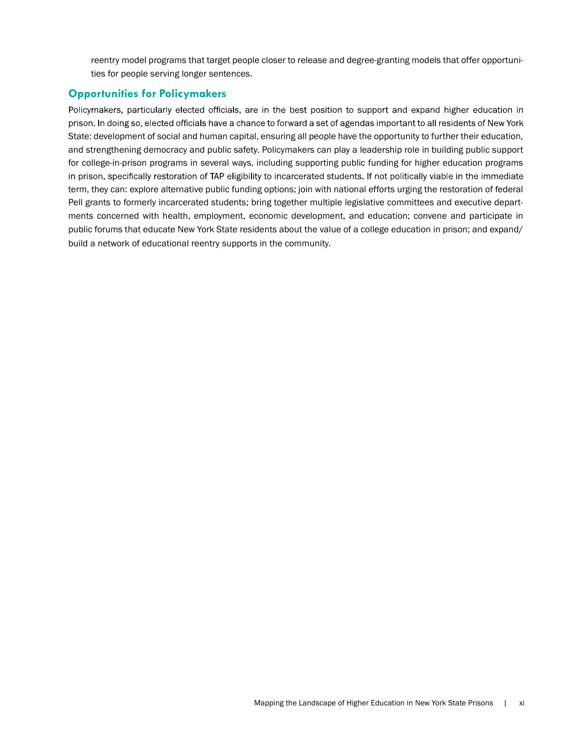reentry model programs that target people closer to release and degree-granting models that offer opportunities for people serving longer sentences.

## Opportunities for Policymakers

Policymakers, particularly elected officials, are in the best position to support and expand higher education in prison. In doing so, elected officials have a chance to forward a set of agendas important to all residents of New York State: development of social and human capital, ensuring all people have the opportunity to further their education, and strengthening democracy and public safety. Policymakers can play a leadership role in building public support for college-in-prison programs in several ways, including supporting public funding for higher education programs in prison, specifically restoration of TAP eligibility to incarcerated students. If not politically viable in the immediate term, they can: explore alternative public funding options; join with national efforts urging the restoration of federal Pell grants to formerly incarcerated students; bring together multiple legislative committees and executive departments concerned with health, employment, economic development, and education; convene and participate in public forums that educate New York State residents about the value of a college education in prison; and expand/ build a network of educational reentry supports in the community.